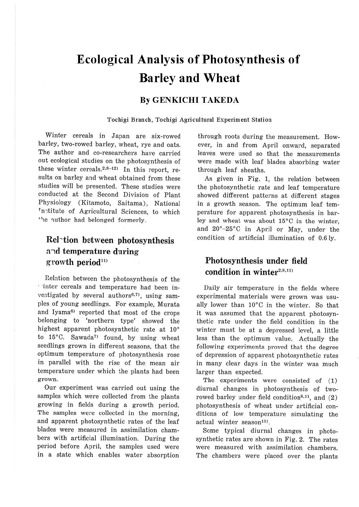# **Ecological Analysis of Photosynthesis of Barley and Wheat**

#### **By GENKICHI TAKEDA**

**Tochigi Branch, Tochigi Agricultural Experiment Station** 

Winter cereals in Japan are six-rowed barley, two-rowed barley, wheat, rye and oats. The author and co-researchers have carried out ecological studies on the photosynthesis of these winter cereals. $2.8-12$ <sup>1</sup> In this report, results on barley and wheat obtained from these studies will be presented. These studies were conducted at the Second Division of Plant Physiology (Kitamoto, Saitama), National Institute of Agricultural Sciences, to which the nuthor had belonged formerly.

## **Rel"tion between photosynthesis n:1d temperature during**  growth period<sup>11)</sup>

Relation between the photosynthesis of the · ·inter cereals and temperature had been investigated by several authors<sup>6,7)</sup>, using samples of young seedlings. For example, Murata and Iyama<sup>6)</sup> reported that most of the crops belonging to 'northern type' showed the highest apparent photosynthetic rate at 10° to  $15^{\circ}$ C. Sawada<sup>7</sup> found, by using wheat seedlings grown in different seasons, that the optimum temperature of photosynthesis rose in parallel with the rise of the mean air temperature under which the plants had been grown.

Our experiment was carried out using the samples which were collected from the plants growing in fields during a growth period. The samples were collected in the morning, and apparent photosynthetic rates of the leaf blades were measured in assimilation chambers with artificial illumination. During the period before April, the samples used were in a state which enables water absorption through roots during the measurement. However, in and from April onward, separated leaves were used so that the measurements were made with leaf blades absorbing water through leaf sheaths.

As given in Fig. 1, the relation between the photosynthetic rate and leaf temperature showed different patterns at different stages in a growth season. The optimum leaf temperature for apparent photosynthesis in barley and wheat was about 15°C in the winter, and 20°-25°C in April or May, under the condition of artificial illumination of 0.6 ly.

## **Photosynthesis under field**  condition in winter $2,8,11$

Daily air temperature in the fields where experimental materials were grown was usually lower than 10°C in the winter. So that it was assumed that the apparent photosynthetic rate under the field condition in the winter must be at a depressed level, a little less than the optimum value. Actually the following experiments proved that the degree of depression of apparent photosynthetic rates in many clear days in the winter was much larger than expected.

The experiments were consisted of (1) diurnal changes in photosynthesis of tworowed barley under field condition<sup>8,11</sup>, and  $(2)$ photosynthesis of wheat under artificial conditions of low temperature simulating the  $actual$  winter season $11$ .

Some typical diurnal changes in photosynthetic rates are shown in Fig. 2. The rates were measured with assimilation chambers. The chambers were placed over the plants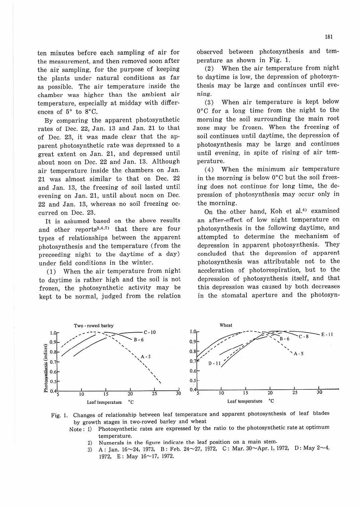ten minutes before each sampling of air for the measurement, and then removed soon after the air sampling, for the purpose of keeping the plants under natural conditions as far as possible. The air temperature inside the chamber was higher than the ambient air temperature, especially at midday with differences of 5° to 8°C.

By comparing the apparent photosynthetic rates of Dec. 22, Jan. 13 and Jan. 21 to that of Dec. 23, it was made clear that the apparent photosynthetic rate was depressed to a great extent on Jan. 21, and depressed until about noon on Dec. 22 and Jan. 13. Although air temperature inside the chambers on Jan. 21 was almost similar to that on Dec. 22 and Jan. 13, the freezing of soil lasted until evening on Jan. 21, until about noon on Dec. 22 and Jan. 13, whereas no soil freezing occurred on Dec. 23.

It is assumed based on the above results and other reports $3,4,7$  that there are four types of relationships between the apparent photosynthesis and the temperature (from the preceeding night to the daytime of a day) under field conditions in the winter.

(1) When the air temperature from night to daytime is rather high and the soil is not frozen, the photosynthetic activity may be kept to be normal, judged from the relation observed between photosynthesis and temperature as shown in Fig. 1.

(2) When the air temperature from night to daytime is low, the depression of photosynthesis may be large and continues until evening.

(3) When air temperature is kept below 0°C for a Jong time from the night to the morning the soil surrounding the main root zone may be frozen. When the freezing of soil continues until daytime, the depression of photosynthesis may be large and continues until evening, in spite of rising of air temperature.

(4) When the minimum air temperature in the morning is below 0°C but the soil freezing does not continue for long time, the depression of photosynthesis may occur only in the morning.

On the other hand, Koh et al.<sup>4)</sup> examined an after-effect of low night temperature on photosynthesis in the following daytime, and attempted to determine the mechanism of depression in apparent photosynthesis. They concluded that the depression of apparent photosynthesis was attributable not to the acceleration of photorespiration, but to the depression of photosynthesis itself, and that this depression was caused by both decreases in the stomatal aperture and the photosyn-



Fig. 1. Changes of relationship between leaf temperature and apparent photosynthesis of leaf blades by growth stages in two-rowed barley and wheat

- Note: 1) Photosynthetic rates are expressed by the ratio to the photosynthetic rate at optimum temperature.
	- 2) Numerals in the figure indicate the leaf position on a main stem.
	- 3) A: Jan. 16~24, 1973, B: Feb. 24~27, 1972, C: Mar. 30~Apr. 1, 1972, D: May 2~4, 1972, E: May  $16 \sim 17$ , 1972.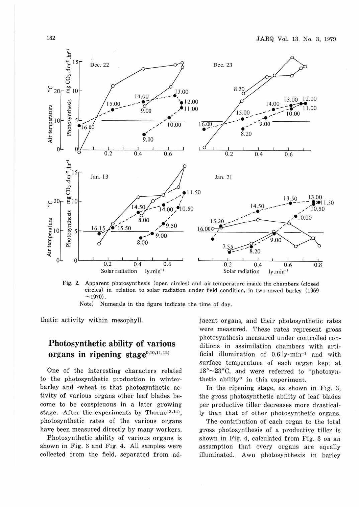

Fig. 2. Apparent photosynthesis (open circles) and air temperature inside the chambers (closed circles) in relation to solar radiation under field condition, in two-rowed barley (1969  $\sim$ 1970).

Note) Numerals in the figure indicate the time of day.

thetic activity within mesophyll.

## Photosynthetic ability of various organs in ripening stage<sup>9,10,11,12)</sup>

One of the interesting characters related to the photosynthetic production in winterbarley and -wheat is that photosynthetic activity of various organs other leaf blades become to be conspicuous in a later growing stage. After the experiments by Thorne<sup>13,14)</sup>. photosynthetic rates of the various organs have been measured directly by many workers.

Photosynthetic ability of various organs is shown in Fig. 3 and Fig. 4. All samples were collected from the field, separated from adjacent organs, and their photosynthetic rates were measured. These rates represent gross photosynthesis measured under controlled conditions in assimilation chambers with artificial illumination of  $0.6 \text{ ly·min}^{-1}$  and with surface temperature of each organ kept at 18°~23°C, and were referred to "photosynthetic ability" in this experiment.

In the ripening stage, as shown in Fig. 3, the gross photosynthetic ability of leaf blades per productive tiller decreases more drastically than that of other photosynthetic organs.

The contribution of each organ to the total gross photosynthesis of a productive tiller is shown in Fig. 4, calculated from Fig. 3 on an assumption that every organs are equally illuminated. Awn photosynthesis in barley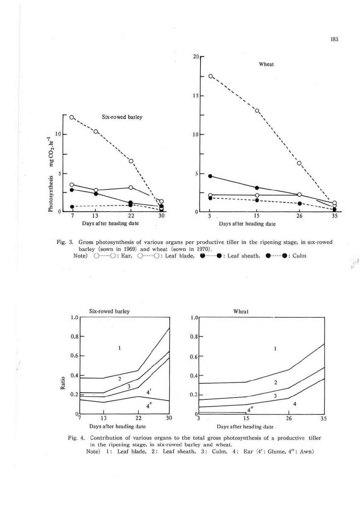

Fig. 3. Gross photosynthesis of various organs per productive tiller in the ripening stage, in six-rowed barley (sown in 1969) and wheat (sown in 1970) . Note) O-O: Ear, O······O: Leaf blade,  $\bullet - \bullet$ : Leaf sheath,  $\bullet$ ······· · Culm





Note) 1: Leaf blade, 2: Leaf sheath, 3: Culm, 4: Ear (4': Glume, 4": Awn)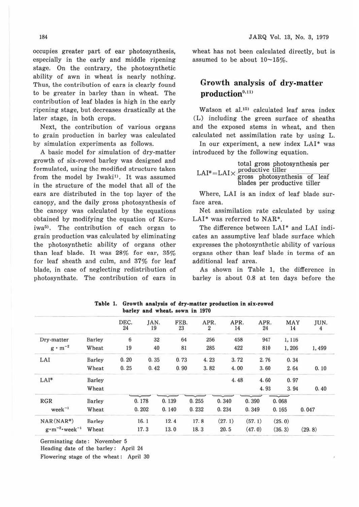occupies greater part of ear photosynthesis, especially in the early and middle ripening stage. On the contrary, the photosynthetic ability of awn in wheat is nearly nothing. Thus, the contribution of ears is clearly found to be greater in barley than in wheat. The contribution of leaf blades is high in the early ripening stage, but decreases drastically at the later stage, in both crops.

Next, the contribution of various organs to grain production in barley was calculated by simulation experiments as follows.

A basic model for simulation of dry-matter growth of six-rowed barley was designed and formulated, using the modified structure taken from the model by Iwaki<sup>1)</sup>. It was assumed in the structure of the model that all of the ears are distributed in the top layer of the canopy, and the daily gross photosynthesis of the canopy was calculated by the equations obtained by modifying the equation of Kuroiwa<sup>5)</sup>. The contribution of each organ to grain production was calculated by eliminating the photosynthetic ability of organs other than leaf blade. It was 28% for ear, 35% for leaf sheath and culm, and 37% for leaf blade, in case of neglecting redistribution of photosynthate. The contribution of ears in

wheat has not been calculated directly, but is assumed to be about  $10\nu 15\%$ .

### Growth analysis of dry-matter production<sup>9,11)</sup>

Watson et al.<sup>15)</sup> calculated leaf area index (L) including the green surface of sheaths and the exposed stems in wheat, and then calculated net assimilation rate by using L.

In our experiment, a new index LAI\* was introduced by the following equation.

|  | total gross photosynthesis per<br>$LAI^* = LAI \times \frac{productive \text{ filter}}{gross \text{ photosynthesis of } leaf}$ |  |                              |  |  |  |  |  |
|--|--------------------------------------------------------------------------------------------------------------------------------|--|------------------------------|--|--|--|--|--|
|  |                                                                                                                                |  | blades per productive tiller |  |  |  |  |  |

Where, LAI is an index of leaf blade surface area.

Net assimilation rate calculated by using LAI\* was referred to NAR\*.

The difference between LAI\* and LAI indicates an assumptive leaf blade surface which expresses the photosynthetic ability of various organs other than leaf blade in terms of an additional leaf area.

As shown in Table 1, the difference in barley is about 0.8 at ten days before the

|                                  |        | DEC.<br>24 | JAN.<br>19 | FEB.<br>23 | APR.<br>2 | APR.<br>14 | APR.<br>24 | MAY<br>14 | JUN.<br>4 |
|----------------------------------|--------|------------|------------|------------|-----------|------------|------------|-----------|-----------|
| Dry-matter                       | Barley | 6          | 32         | 64         | 256       | 458        | 947        | 1,116     |           |
| $g \cdot m^{-2}$                 | Wheat  | 19         | 40         | 81         | 285       | 422        | 810        | 1,206     | 1,499     |
| LAI                              | Barley | 0.20       | 0.35       | 0.73       | 4.23      | 3.72       | 2.76       | 0.34      |           |
|                                  | Wheat  | 0.25       | 0.42       | 0.90       | 3.82      | 4.00       | 3.60       | 2.64      | 0.10      |
| $LAI*$                           | Barley |            |            |            |           | 4.48       | 4.60       | 0.97      |           |
|                                  | Wheat  |            |            |            |           |            | 4.93       | 3.94      | 0.40      |
| RGR                              | Barley |            | 0.178      | 0.139      | 0.255     | 0.340      | 0.390      | 0.068     |           |
| $week^{-1}$                      | Wheat  |            | 0.202      | 0.140      | 0.232     | 0.234      | 0.349      | 0.165     | 0.047     |
| $NAR(NAR^*)$                     | Barley |            | 16.1       | 12.4       | 17.8      | (27.1)     | (57.1)     | (25.0)    |           |
| $g \cdot m^{-2} \cdot week^{-1}$ | Wheat  |            | 17.3       | 13.0       | 18.3      | 20.5       | (47.0)     | (36.3)    | (29.8)    |

**Table** 1. **Growth analysis of dry-matter production** in **six-rowed barley and wheat, sown in** 1970

Germinating date: November 5

Heading date of the barley: April 24

Flowering stage of the wheat: April 30